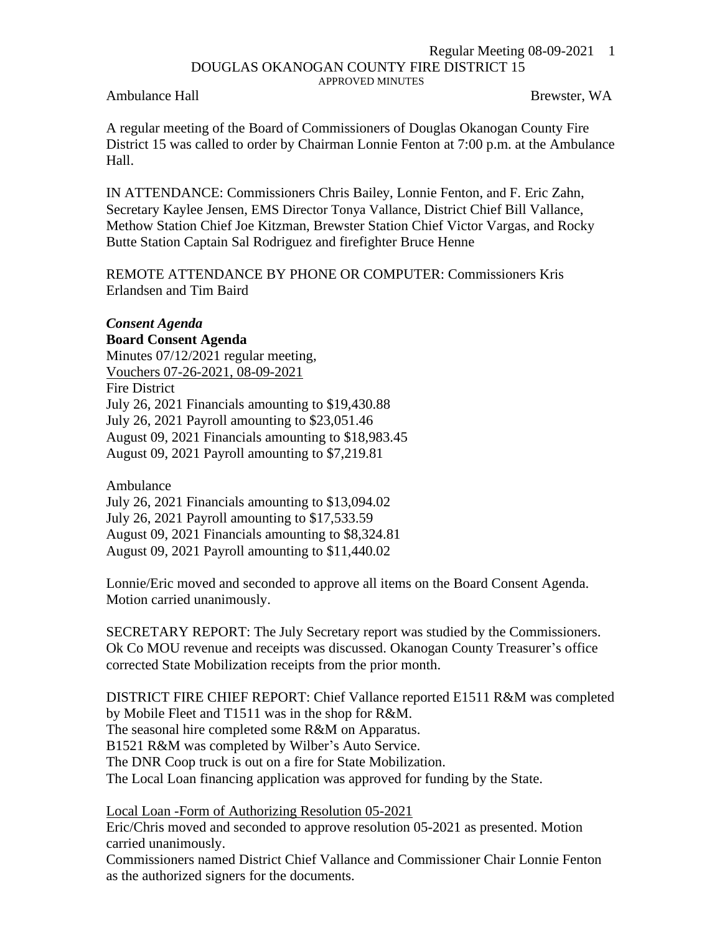## Regular Meeting 08-09-2021 1 DOUGLAS OKANOGAN COUNTY FIRE DISTRICT 15 APPROVED MINUTES

Ambulance Hall **Brewster, WA** 

A regular meeting of the Board of Commissioners of Douglas Okanogan County Fire District 15 was called to order by Chairman Lonnie Fenton at 7:00 p.m. at the Ambulance Hall.

IN ATTENDANCE: Commissioners Chris Bailey, Lonnie Fenton, and F. Eric Zahn, Secretary Kaylee Jensen, EMS Director Tonya Vallance, District Chief Bill Vallance, Methow Station Chief Joe Kitzman, Brewster Station Chief Victor Vargas, and Rocky Butte Station Captain Sal Rodriguez and firefighter Bruce Henne

REMOTE ATTENDANCE BY PHONE OR COMPUTER: Commissioners Kris Erlandsen and Tim Baird

## *Consent Agenda*

**Board Consent Agenda** Minutes 07/12/2021 regular meeting, Vouchers 07-26-2021, 08-09-2021 Fire District July 26, 2021 Financials amounting to \$19,430.88 July 26, 2021 Payroll amounting to \$23,051.46 August 09, 2021 Financials amounting to \$18,983.45 August 09, 2021 Payroll amounting to \$7,219.81

Ambulance

July 26, 2021 Financials amounting to \$13,094.02 July 26, 2021 Payroll amounting to \$17,533.59 August 09, 2021 Financials amounting to \$8,324.81 August 09, 2021 Payroll amounting to \$11,440.02

Lonnie/Eric moved and seconded to approve all items on the Board Consent Agenda. Motion carried unanimously.

SECRETARY REPORT: The July Secretary report was studied by the Commissioners. Ok Co MOU revenue and receipts was discussed. Okanogan County Treasurer's office corrected State Mobilization receipts from the prior month.

DISTRICT FIRE CHIEF REPORT: Chief Vallance reported E1511 R&M was completed by Mobile Fleet and T1511 was in the shop for R&M. The seasonal hire completed some R&M on Apparatus. B1521 R&M was completed by Wilber's Auto Service. The DNR Coop truck is out on a fire for State Mobilization. The Local Loan financing application was approved for funding by the State.

Local Loan -Form of Authorizing Resolution 05-2021

Eric/Chris moved and seconded to approve resolution 05-2021 as presented. Motion carried unanimously.

Commissioners named District Chief Vallance and Commissioner Chair Lonnie Fenton as the authorized signers for the documents.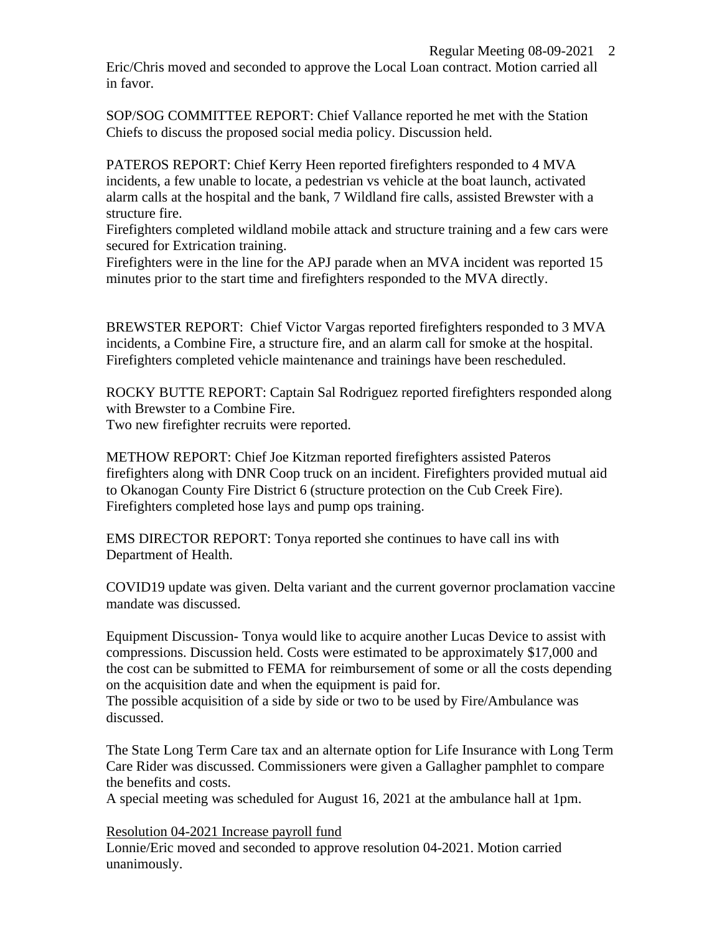Eric/Chris moved and seconded to approve the Local Loan contract. Motion carried all in favor.

SOP/SOG COMMITTEE REPORT: Chief Vallance reported he met with the Station Chiefs to discuss the proposed social media policy. Discussion held.

PATEROS REPORT: Chief Kerry Heen reported firefighters responded to 4 MVA incidents, a few unable to locate, a pedestrian vs vehicle at the boat launch, activated alarm calls at the hospital and the bank, 7 Wildland fire calls, assisted Brewster with a structure fire.

Firefighters completed wildland mobile attack and structure training and a few cars were secured for Extrication training.

Firefighters were in the line for the APJ parade when an MVA incident was reported 15 minutes prior to the start time and firefighters responded to the MVA directly.

BREWSTER REPORT: Chief Victor Vargas reported firefighters responded to 3 MVA incidents, a Combine Fire, a structure fire, and an alarm call for smoke at the hospital. Firefighters completed vehicle maintenance and trainings have been rescheduled.

ROCKY BUTTE REPORT: Captain Sal Rodriguez reported firefighters responded along with Brewster to a Combine Fire. Two new firefighter recruits were reported.

METHOW REPORT: Chief Joe Kitzman reported firefighters assisted Pateros firefighters along with DNR Coop truck on an incident. Firefighters provided mutual aid to Okanogan County Fire District 6 (structure protection on the Cub Creek Fire). Firefighters completed hose lays and pump ops training.

EMS DIRECTOR REPORT: Tonya reported she continues to have call ins with Department of Health.

COVID19 update was given. Delta variant and the current governor proclamation vaccine mandate was discussed.

Equipment Discussion- Tonya would like to acquire another Lucas Device to assist with compressions. Discussion held. Costs were estimated to be approximately \$17,000 and the cost can be submitted to FEMA for reimbursement of some or all the costs depending on the acquisition date and when the equipment is paid for.

The possible acquisition of a side by side or two to be used by Fire/Ambulance was discussed.

The State Long Term Care tax and an alternate option for Life Insurance with Long Term Care Rider was discussed. Commissioners were given a Gallagher pamphlet to compare the benefits and costs.

A special meeting was scheduled for August 16, 2021 at the ambulance hall at 1pm.

Resolution 04-2021 Increase payroll fund

Lonnie/Eric moved and seconded to approve resolution 04-2021. Motion carried unanimously.